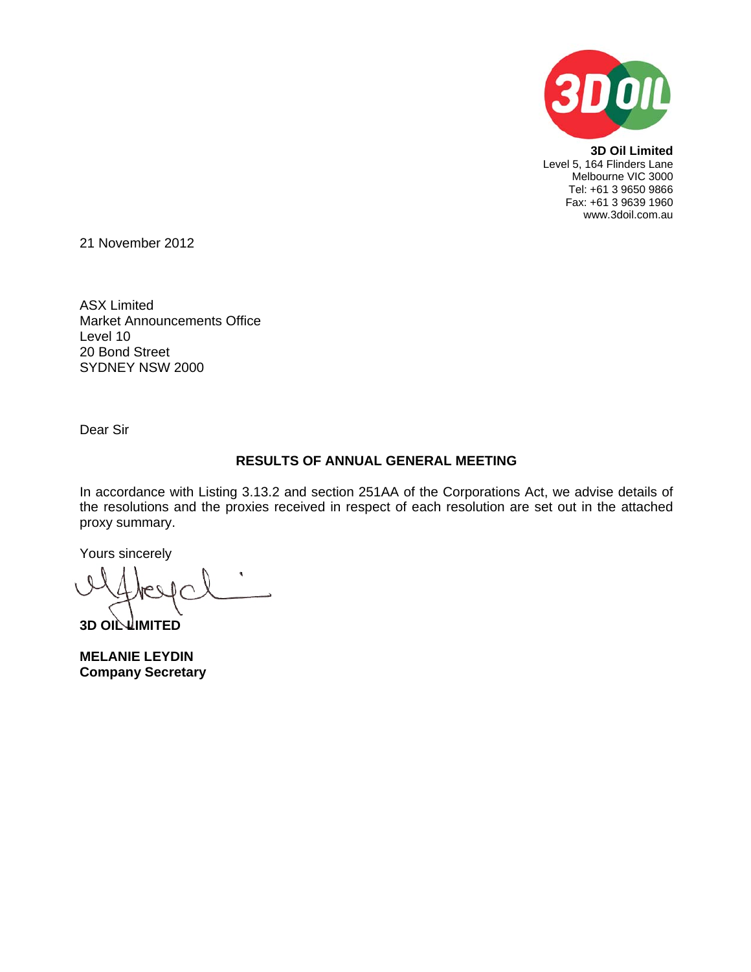

**3D Oil Limited**  Level 5, 164 Flinders Lane Melbourne VIC 3000 Tel: +61 3 9650 9866 Fax: +61 3 9639 1960 www.3doil.com.au

21 November 2012

ASX Limited Market Announcements Office Level 10 20 Bond Street SYDNEY NSW 2000

Dear Sir

# **RESULTS OF ANNUAL GENERAL MEETING**

In accordance with Listing 3.13.2 and section 251AA of the Corporations Act, we advise details of the resolutions and the proxies received in respect of each resolution are set out in the attached proxy summary.

Yours sincerely

**3D OIL LIMITED** 

**MELANIE LEYDIN Company Secretary**